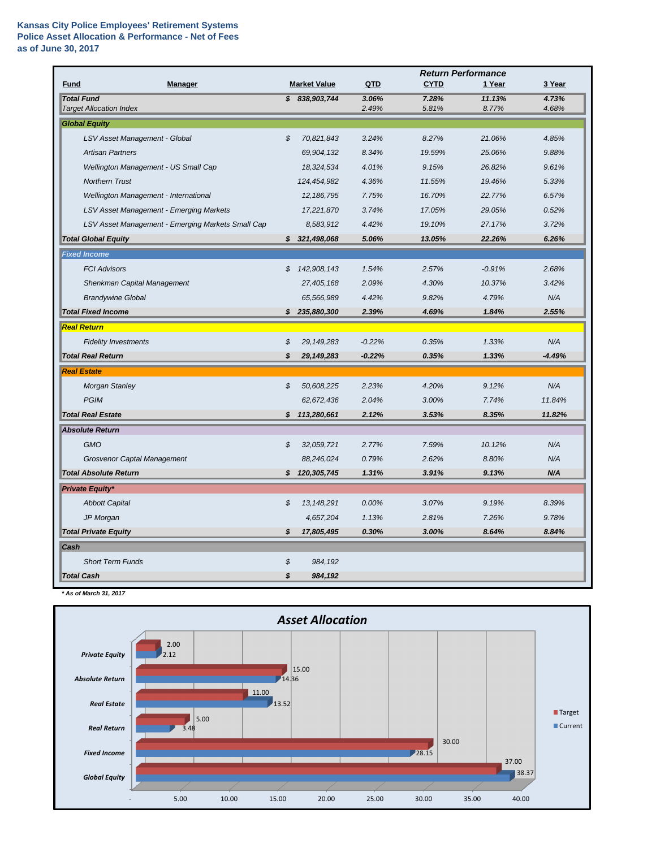|                                                     |    |                     | <b>Return Performance</b> |                |                 |                |  |
|-----------------------------------------------------|----|---------------------|---------------------------|----------------|-----------------|----------------|--|
| <b>Fund</b><br><b>Manager</b>                       |    | <b>Market Value</b> | QTD                       | <b>CYTD</b>    | 1 Year          | 3 Year         |  |
| <b>Total Fund</b><br><b>Target Allocation Index</b> |    | \$838,903,744       | 3.06%<br>2.49%            | 7.28%<br>5.81% | 11.13%<br>8.77% | 4.73%<br>4.68% |  |
| <b>Global Equity</b>                                |    |                     |                           |                |                 |                |  |
| LSV Asset Management - Global                       | \$ | 70,821,843          | 3.24%                     | 8.27%          | 21.06%          | 4.85%          |  |
| <b>Artisan Partners</b>                             |    | 69,904,132          | 8.34%                     | 19.59%         | 25.06%          | 9.88%          |  |
| Wellington Management - US Small Cap                |    | 18,324,534          | 4.01%                     | 9.15%          | 26.82%          | 9.61%          |  |
| <b>Northern Trust</b>                               |    | 124,454,982         | 4.36%                     | 11.55%         | 19.46%          | 5.33%          |  |
| Wellington Management - International               |    | 12, 186, 795        | 7.75%                     | 16.70%         | 22.77%          | 6.57%          |  |
| <b>LSV Asset Management - Emerging Markets</b>      |    | 17,221,870          | 3.74%                     | 17.05%         | 29.05%          | 0.52%          |  |
| LSV Asset Management - Emerging Markets Small Cap   |    | 8,583,912           | 4.42%                     | 19.10%         | 27.17%          | 3.72%          |  |
| <b>Total Global Equity</b>                          |    | \$321,498,068       | 5.06%                     | 13.05%         | 22.26%          | 6.26%          |  |
| <b>Fixed Income</b>                                 |    |                     |                           |                |                 |                |  |
| <b>FCI Advisors</b>                                 | \$ | 142,908,143         | 1.54%                     | 2.57%          | $-0.91%$        | 2.68%          |  |
| Shenkman Capital Management                         |    | 27,405,168          | 2.09%                     | 4.30%          | 10.37%          | 3.42%          |  |
| <b>Brandywine Global</b>                            |    | 65,566,989          | 4.42%                     | 9.82%          | 4.79%           | N/A            |  |
| <b>Total Fixed Income</b>                           |    | \$235,880,300       | 2.39%                     | 4.69%          | 1.84%           | 2.55%          |  |
| <b>Real Return</b>                                  |    |                     |                           |                |                 |                |  |
| <b>Fidelity Investments</b>                         | \$ | 29, 149, 283        | $-0.22%$                  | 0.35%          | 1.33%           | N/A            |  |
| <b>Total Real Return</b>                            | S  | 29,149,283          | $-0.22%$                  | 0.35%          | 1.33%           | $-4.49%$       |  |
| <b>Real Estate</b>                                  |    |                     |                           |                |                 |                |  |
| <b>Morgan Stanley</b>                               | S  | 50,608,225          | 2.23%                     | 4.20%          | 9.12%           | N/A            |  |
| <b>PGIM</b>                                         |    | 62,672,436          | 2.04%                     | 3.00%          | 7.74%           | 11.84%         |  |
| <b>Total Real Estate</b>                            |    | \$113,280,661       | 2.12%                     | 3.53%          | 8.35%           | 11.82%         |  |
| <b>Absolute Return</b>                              |    |                     |                           |                |                 |                |  |
| <b>GMO</b>                                          | \$ | 32,059,721          | 2.77%                     | 7.59%          | 10.12%          | N/A            |  |
| <b>Grosvenor Captal Management</b>                  |    | 88,246,024          | 0.79%                     | 2.62%          | 8.80%           | N/A            |  |
| <b>Total Absolute Return</b>                        |    | \$120,305,745       | 1.31%                     | 3.91%          | 9.13%           | N/A            |  |
| <b>Private Equity*</b>                              |    |                     |                           |                |                 |                |  |
| <b>Abbott Capital</b>                               | \$ | 13, 148, 291        | 0.00%                     | 3.07%          | 9.19%           | 8.39%          |  |
| JP Morgan                                           |    | 4,657,204           | 1.13%                     | 2.81%          | 7.26%           | 9.78%          |  |
| <b>Total Private Equity</b>                         | \$ | 17,805,495          | 0.30%                     | 3.00%          | 8.64%           | 8.84%          |  |
| Cash                                                |    |                     |                           |                |                 |                |  |
| <b>Short Term Funds</b>                             | \$ | 984,192             |                           |                |                 |                |  |
| <b>Total Cash</b>                                   | \$ | 984,192             |                           |                |                 |                |  |

*\* As of March 31, 2017*